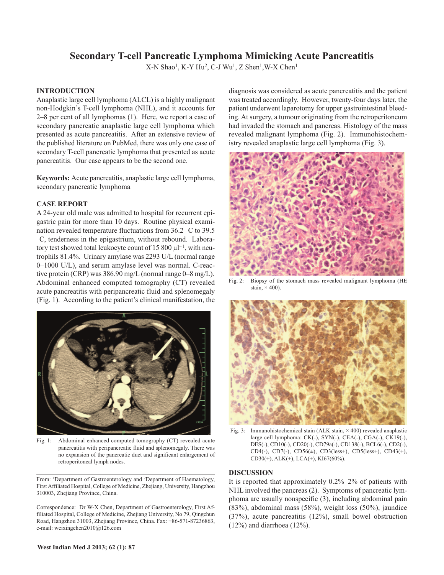# **Secondary T-cell Pancreatic Lymphoma Mimicking Acute Pancreatitis**

X-N Shao<sup>1</sup>, K-Y Hu<sup>2</sup>, C-J Wu<sup>1</sup>, Z Shen<sup>1</sup>, W-X Chen<sup>1</sup>

## **INTRODUCTION**

Anaplastic large cell lymphoma (ALCL) is a highly malignant non-Hodgkin's T-cell lymphoma (NHL), and it accounts for 2–8 per cent of all lymphomas (1). Here, we report a case of secondary pancreatic anaplastic large cell lymphoma which presented as acute pancreatitis. After an extensive review of the published literature on PubMed, there was only one case of secondary T-cell pancreatic lymphoma that presented as acute pancreatitis. Our case appears to be the second one.

**Keywords:** Acute pancreatitis, anaplastic large cell lymphoma, secondary pancreatic lymphoma

# **CASE REPORT**

A 24-year old male was admitted to hospital for recurrent epigastric pain for more than 10 days. Routine physical examination revealed temperature fluctuations from 36.2 C to 39.5 C, tenderness in the epigastrium, without rebound. Laboratory test showed total leukocyte count of 15 800  $\mu$ <sup>-1</sup>, with neutrophils 81.4%. Urinary amylase was 2293 U/L (normal range 0–1000 U/L), and serum amylase level was normal. C-reactive protein (CRP) was 386.90 mg/L (normal range 0–8 mg/L). Abdominal enhanced computed tomography (CT) revealed acute pancreatitis with peripancreatic fluid and splenomegaly (Fig. 1). According to the patient's clinical manifestation, the



Fig. 1: Abdominal enhanced computed tomography (CT) revealed acute pancreatitis with peripancreatic fluid and splenomegaly. There was no expansion of the pancreatic duct and significant enlargement of retroperitoneal lymph nodes.

From: <sup>1</sup>Department of Gastroenterology and <sup>2</sup>Department of Haematology, First Affiliated Hospital, College of Medicine, Zhejiang, University, Hangzhou 310003, Zhejiang Province, China.

Correspondence: Dr W-X Chen, Department of Gastroenterology, First Affiliated Hospital, College of Medicine, Zhejiang University, No 79, Qingchun Road, Hangzhou 31003, Zhejiang Province, China. Fax: +86-571-87236863, e-mail: weixingchen2010@126.com

diagnosis was considered as acute pancreatitis and the patient was treated accordingly. However, twenty-four days later, the patient underwent laparotomy for upper gastrointestinal bleeding. At surgery, a tumour originating from the retroperitoneum had invaded the stomach and pancreas. Histology of the mass revealed malignant lymphoma (Fig. 2). Immunohistochemistry revealed anaplastic large cell lymphoma (Fig. 3).



Fig. 2: Biopsy of the stomach mass revealed malignant lymphoma (HE stain,  $\times$  400).



Fig. 3: Immunohistochemical stain (ALK stain,  $\times$  400) revealed anaplastic large cell lymphoma: CK(-), SYN(-), CEA(-), CGA(-), CK19(-), DES(-), CD10(-), CD20(-), CD79a(-), CD138(-), BCL6(-), CD2(-), CD4(-), CD7(-), CD56(±), CD3(less+), CD5(less+), CD43(+), CD30(+), ALK(+), LCA(+), KI67(60%).

### **DISCUSSION**

It is reported that approximately 0.2%–2% of patients with NHL involved the pancreas (2). Symptoms of pancreatic lymphoma are usually nonspecific (3), including abdominal pain (83%), abdominal mass (58%), weight loss (50%), jaundice (37%), acute pancreatitis (12%), small bowel obstruction  $(12\%)$  and diarrhoea  $(12\%)$ .